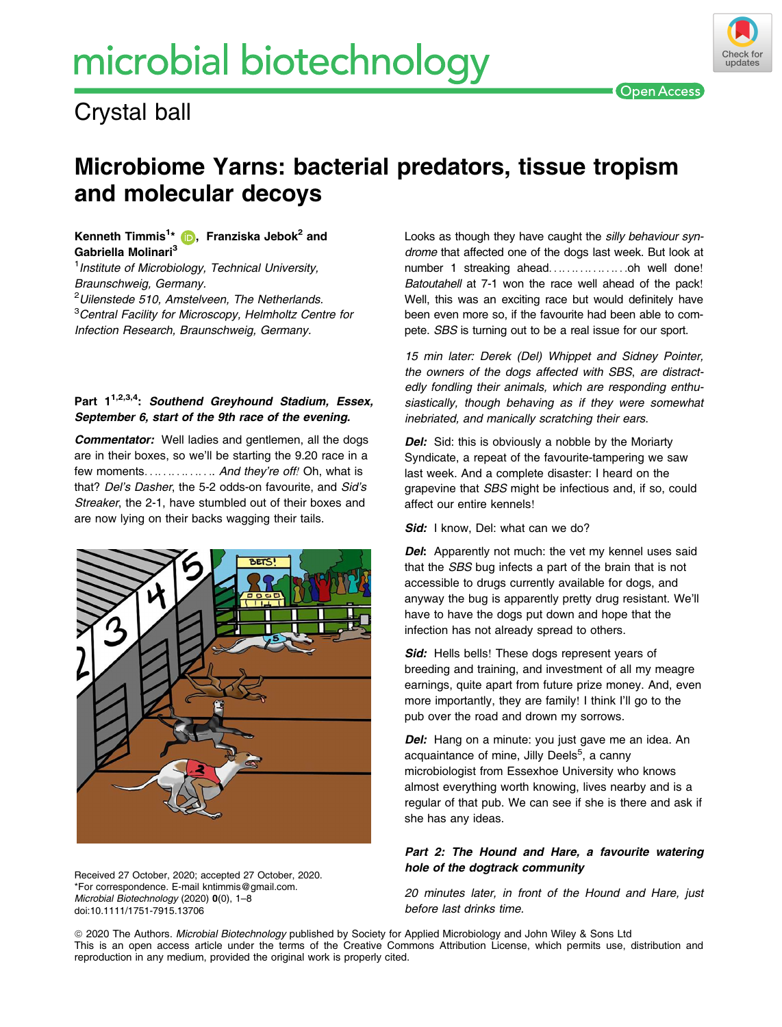# microbial biotechnology



### Check fo undates

## Microbiome Yarns: bacterial predators, tissue tropism and molecular decoys

#### Kenneth Timmis<sup>1</sup>[\\*](https://orcid.org/0000-0002-0066-4670) (D), Franziska Jebok<sup>2</sup> and Gabriella Molinari[3](https://orcid.org/0000-0002-0066-4670)

<sup>1</sup> Institute of Microbiology, Technical University, Braunschweig, Germany.

<sup>2</sup>Uilenstede 510, Amstelveen, The Netherlands.

<sup>3</sup>Central Facility for Microscopy, Helmholtz Centre for Infection Research, Braunschweig, Germany.

#### Part 1<sup>1,2,3,4</sup>: Southend Greyhound Stadium, Essex, September 6, start of the 9th race of the evening.

Commentator: Well ladies and gentlemen, all the dogs are in their boxes, so we'll be starting the 9.20 race in a few moments. . . . . . . . . . . . . . . And they're off! Oh, what is that? Del's Dasher, the 5-2 odds-on favourite, and Sid's Streaker, the 2-1, have stumbled out of their boxes and are now lying on their backs wagging their tails.



Received 27 October, 2020; accepted 27 October, 2020. \*For correspondence. E-mail [kntimmis@gmail.com.](mailto:) Microbial Biotechnology (2020) 0(0), 1–8 doi:10.1111/1751-7915.13706

Looks as though they have caught the silly behaviour syndrome that affected one of the dogs last week. But look at number 1 streaking ahead......................oh well done! Batoutahell at 7-1 won the race well ahead of the pack! Well, this was an exciting race but would definitely have been even more so, if the favourite had been able to compete. SBS is turning out to be a real issue for our sport.

15 min later: Derek (Del) Whippet and Sidney Pointer, the owners of the dogs affected with SBS, are distractedly fondling their animals, which are responding enthusiastically, though behaving as if they were somewhat inebriated, and manically scratching their ears.

**Del:** Sid: this is obviously a nobble by the Moriarty Syndicate, a repeat of the favourite-tampering we saw last week. And a complete disaster: I heard on the grapevine that SBS might be infectious and, if so, could affect our entire kennels!

Sid: I know, Del: what can we do?

Del: Apparently not much: the vet my kennel uses said that the SBS bug infects a part of the brain that is not accessible to drugs currently available for dogs, and anyway the bug is apparently pretty drug resistant. We'll have to have the dogs put down and hope that the infection has not already spread to others.

Sid: Hells bells! These dogs represent years of breeding and training, and investment of all my meagre earnings, quite apart from future prize money. And, even more importantly, they are family! I think I'll go to the pub over the road and drown my sorrows.

Del: Hang on a minute: you just gave me an idea. An acquaintance of mine, Jilly Deels<sup>5</sup>, a canny microbiologist from Essexhoe University who knows almost everything worth knowing, lives nearby and is a regular of that pub. We can see if she is there and ask if she has any ideas.

#### Part 2: The Hound and Hare, a favourite watering hole of the dogtrack community

20 minutes later, in front of the Hound and Hare, just before last drinks time.

ª 2020 The Authors. Microbial Biotechnology published by Society for Applied Microbiology and John Wiley & Sons Ltd This is an open access article under the terms of the [Creative Commons Attribution](http://creativecommons.org/licenses/by/4.0/) License, which permits use, distribution and reproduction in any medium, provided the original work is properly cited.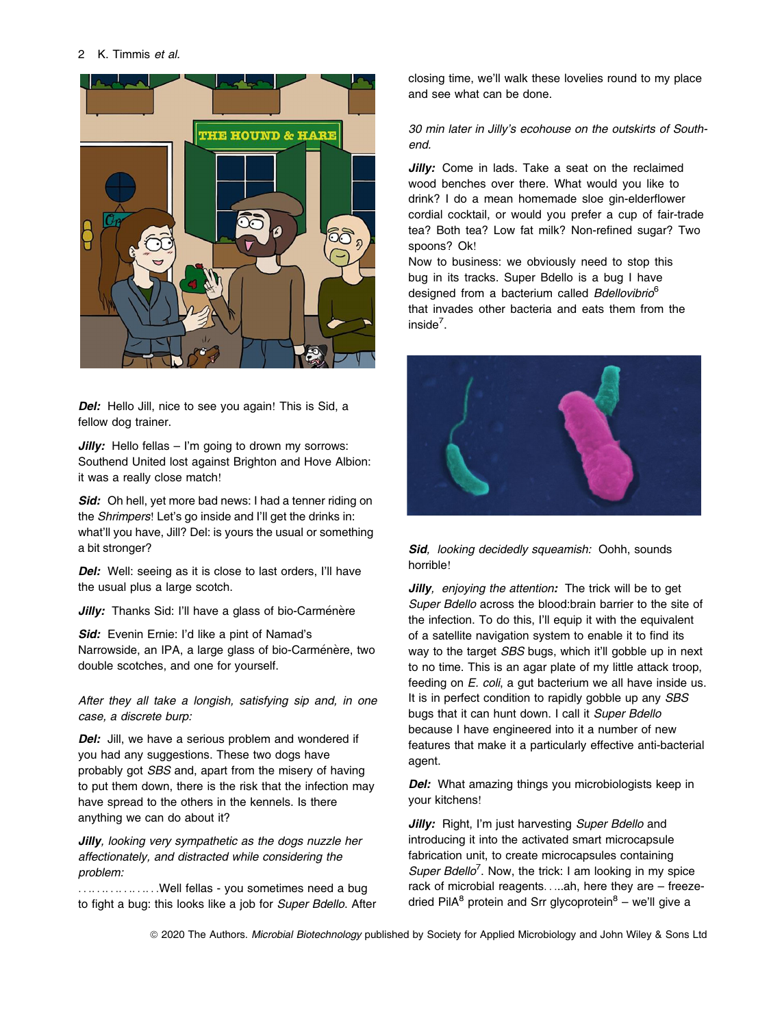#### 2 K. Timmis et al.



Del: Hello Jill, nice to see you again! This is Sid, a fellow dog trainer.

**Jilly:** Hello fellas  $-$  I'm going to drown my sorrows: Southend United lost against Brighton and Hove Albion: it was a really close match!

Sid: Oh hell, yet more bad news: I had a tenner riding on the Shrimpers! Let's go inside and I'll get the drinks in: what'll you have, Jill? Del: is yours the usual or something a bit stronger?

Del: Well: seeing as it is close to last orders, I'll have the usual plus a large scotch.

Jilly: Thanks Sid: I'll have a glass of bio-Carménère

Sid: Evenin Ernie: I'd like a pint of Namad's Narrowside, an IPA, a large glass of bio-Carménère, two double scotches, and one for yourself.

After they all take a longish, satisfying sip and, in one case, a discrete burp:

Del: Jill, we have a serious problem and wondered if you had any suggestions. These two dogs have probably got SBS and, apart from the misery of having to put them down, there is the risk that the infection may have spread to the others in the kennels. Is there anything we can do about it?

**Jilly**, looking very sympathetic as the dogs nuzzle her affectionately, and distracted while considering the problem:

....................Well fellas - you sometimes need a bug to fight a bug: this looks like a job for Super Bdello. After closing time, we'll walk these lovelies round to my place and see what can be done.

#### 30 min later in Jilly's ecohouse on the outskirts of Southend.

Jilly: Come in lads. Take a seat on the reclaimed wood benches over there. What would you like to drink? I do a mean homemade sloe gin-elderflower cordial cocktail, or would you prefer a cup of fair-trade tea? Both tea? Low fat milk? Non-refined sugar? Two spoons? Ok!

Now to business: we obviously need to stop this bug in its tracks. Super Bdello is a bug I have designed from a bacterium called Bdellovibrio<sup>6</sup> that invades other bacteria and eats them from the inside<sup>7</sup>.



#### Sid, looking decidedly squeamish: Oohh, sounds horrible!

**Jilly**, enjoying the attention: The trick will be to get Super Bdello across the blood:brain barrier to the site of the infection. To do this, I'll equip it with the equivalent of a satellite navigation system to enable it to find its way to the target SBS bugs, which it'll gobble up in next to no time. This is an agar plate of my little attack troop, feeding on *E. coli*, a gut bacterium we all have inside us. It is in perfect condition to rapidly gobble up any SBS bugs that it can hunt down. I call it Super Bdello because I have engineered into it a number of new features that make it a particularly effective anti-bacterial agent.

Del: What amazing things you microbiologists keep in your kitchens!

Jilly: Right, I'm just harvesting Super Bdello and introducing it into the activated smart microcapsule fabrication unit, to create microcapsules containing Super Bdello<sup>7</sup>. Now, the trick: I am looking in my spice rack of microbial reagents.....ah, here they are – freezedried Pil $A^8$  protein and Srr glycoprotein $^8$  – we'll give a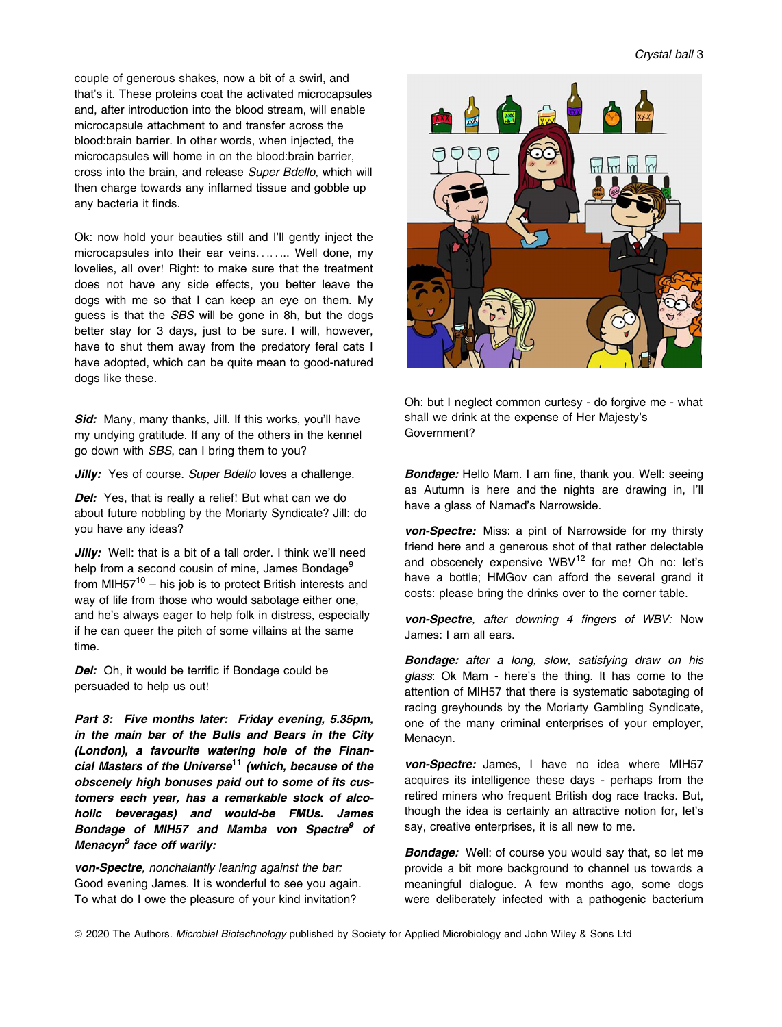Crystal ball 3

couple of generous shakes, now a bit of a swirl, and that's it. These proteins coat the activated microcapsules and, after introduction into the blood stream, will enable microcapsule attachment to and transfer across the blood:brain barrier. In other words, when injected, the microcapsules will home in on the blood:brain barrier, cross into the brain, and release Super Bdello, which will then charge towards any inflamed tissue and gobble up any bacteria it finds.

Ok: now hold your beauties still and I'll gently inject the microcapsules into their ear veins........ Well done, my lovelies, all over! Right: to make sure that the treatment does not have any side effects, you better leave the dogs with me so that I can keep an eye on them. My guess is that the SBS will be gone in 8h, but the dogs better stay for 3 days, just to be sure. I will, however, have to shut them away from the predatory feral cats I have adopted, which can be quite mean to good-natured dogs like these.

Sid: Many, many thanks, Jill. If this works, you'll have my undying gratitude. If any of the others in the kennel go down with SBS, can I bring them to you?

Jilly: Yes of course. Super Bdello loves a challenge.

Del: Yes, that is really a relief! But what can we do about future nobbling by the Moriarty Syndicate? Jill: do you have any ideas?

Jilly: Well: that is a bit of a tall order. I think we'll need help from a second cousin of mine, James Bondage<sup>9</sup> from MIH57 $10 -$  his job is to protect British interests and way of life from those who would sabotage either one, and he's always eager to help folk in distress, especially if he can queer the pitch of some villains at the same time.

Del: Oh, it would be terrific if Bondage could be persuaded to help us out!

Part 3: Five months later: Friday evening, 5.35pm, in the main bar of the Bulls and Bears in the City (London), a favourite watering hole of the Financial Masters of the Universe<sup>11</sup> (which, because of the obscenely high bonuses paid out to some of its customers each year, has a remarkable stock of alcoholic beverages) and would-be FMUs. James Bondage of MIH57 and Mamba von Spectre<sup>9</sup> of Menacyn $<sup>9</sup>$  face off warily:</sup>

von-Spectre, nonchalantly leaning against the bar: Good evening James. It is wonderful to see you again. To what do I owe the pleasure of your kind invitation?



Oh: but I neglect common curtesy - do forgive me - what shall we drink at the expense of Her Majesty's Government?

Bondage: Hello Mam. I am fine, thank you. Well: seeing as Autumn is here and the nights are drawing in, I'll have a glass of Namad's Narrowside.

von-Spectre: Miss: a pint of Narrowside for my thirsty friend here and a generous shot of that rather delectable and obscenely expensive WBV<sup>12</sup> for me! Oh no: let's have a bottle; HMGov can afford the several grand it costs: please bring the drinks over to the corner table.

von-Spectre, after downing 4 fingers of WBV: Now James: I am all ears.

**Bondage:** after a long, slow, satisfying draw on his glass: Ok Mam - here's the thing. It has come to the attention of MIH57 that there is systematic sabotaging of racing greyhounds by the Moriarty Gambling Syndicate, one of the many criminal enterprises of your employer, Menacyn.

von-Spectre: James, I have no idea where MIH57 acquires its intelligence these days - perhaps from the retired miners who frequent British dog race tracks. But, though the idea is certainly an attractive notion for, let's say, creative enterprises, it is all new to me.

**Bondage:** Well: of course you would say that, so let me provide a bit more background to channel us towards a meaningful dialogue. A few months ago, some dogs were deliberately infected with a pathogenic bacterium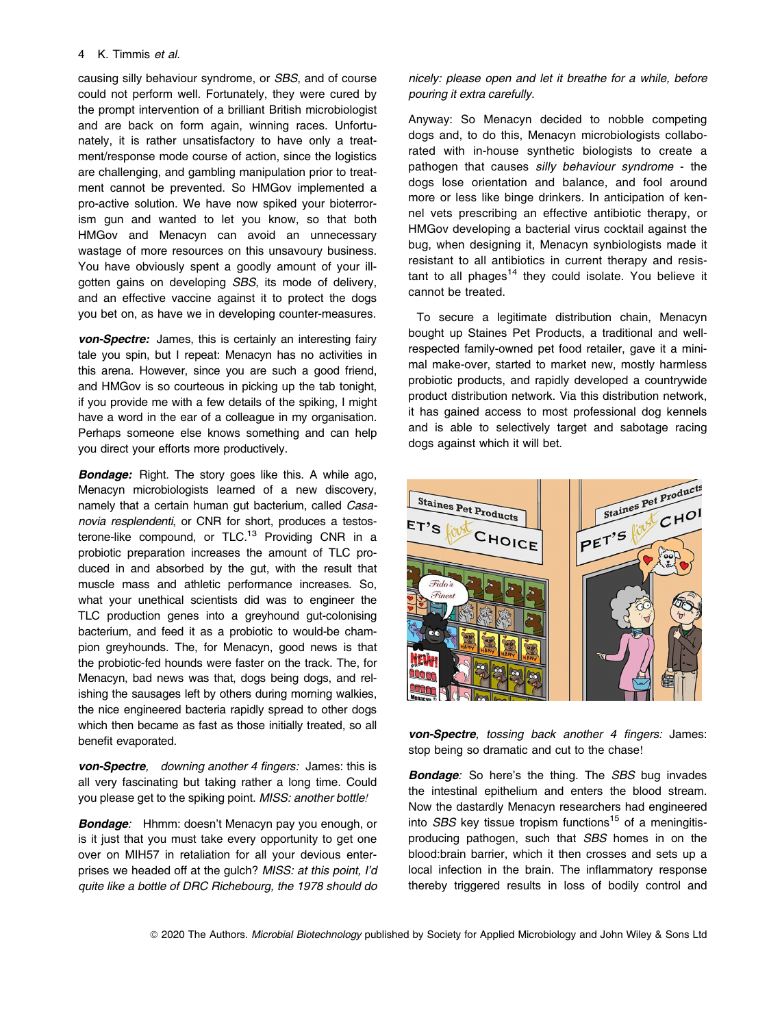#### 4 K. Timmis et al.

causing silly behaviour syndrome, or SBS, and of course could not perform well. Fortunately, they were cured by the prompt intervention of a brilliant British microbiologist and are back on form again, winning races. Unfortunately, it is rather unsatisfactory to have only a treatment/response mode course of action, since the logistics are challenging, and gambling manipulation prior to treatment cannot be prevented. So HMGov implemented a pro-active solution. We have now spiked your bioterrorism gun and wanted to let you know, so that both HMGov and Menacyn can avoid an unnecessary wastage of more resources on this unsavoury business. You have obviously spent a goodly amount of your illgotten gains on developing SBS, its mode of delivery, and an effective vaccine against it to protect the dogs you bet on, as have we in developing counter-measures.

von-Spectre: James, this is certainly an interesting fairy tale you spin, but I repeat: Menacyn has no activities in this arena. However, since you are such a good friend, and HMGov is so courteous in picking up the tab tonight, if you provide me with a few details of the spiking, I might have a word in the ear of a colleague in my organisation. Perhaps someone else knows something and can help you direct your efforts more productively.

**Bondage:** Right. The story goes like this. A while ago, Menacyn microbiologists learned of a new discovery, namely that a certain human gut bacterium, called Casanovia resplendenti, or CNR for short, produces a testosterone-like compound, or  $TLC<sup>13</sup>$  Providing CNR in a probiotic preparation increases the amount of TLC produced in and absorbed by the gut, with the result that muscle mass and athletic performance increases. So, what your unethical scientists did was to engineer the TLC production genes into a greyhound gut-colonising bacterium, and feed it as a probiotic to would-be champion greyhounds. The, for Menacyn, good news is that the probiotic-fed hounds were faster on the track. The, for Menacyn, bad news was that, dogs being dogs, and relishing the sausages left by others during morning walkies, the nice engineered bacteria rapidly spread to other dogs which then became as fast as those initially treated, so all benefit evaporated.

von-Spectre, downing another 4 fingers: James: this is all very fascinating but taking rather a long time. Could you please get to the spiking point. MISS: another bottle!

Bondage: Hhmm: doesn't Menacyn pay you enough, or is it just that you must take every opportunity to get one over on MIH57 in retaliation for all your devious enterprises we headed off at the gulch? MISS: at this point, I'd quite like a bottle of DRC Richebourg, the 1978 should do

nicely: please open and let it breathe for a while, before pouring it extra carefully.

Anyway: So Menacyn decided to nobble competing dogs and, to do this, Menacyn microbiologists collaborated with in-house synthetic biologists to create a pathogen that causes silly behaviour syndrome - the dogs lose orientation and balance, and fool around more or less like binge drinkers. In anticipation of kennel vets prescribing an effective antibiotic therapy, or HMGov developing a bacterial virus cocktail against the bug, when designing it, Menacyn synbiologists made it resistant to all antibiotics in current therapy and resistant to all phages<sup>14</sup> they could isolate. You believe it cannot be treated.

To secure a legitimate distribution chain, Menacyn bought up Staines Pet Products, a traditional and wellrespected family-owned pet food retailer, gave it a minimal make-over, started to market new, mostly harmless probiotic products, and rapidly developed a countrywide product distribution network. Via this distribution network, it has gained access to most professional dog kennels and is able to selectively target and sabotage racing dogs against which it will bet.



von-Spectre, tossing back another 4 fingers: James: stop being so dramatic and cut to the chase!

**Bondage:** So here's the thing. The SBS bug invades the intestinal epithelium and enters the blood stream. Now the dastardly Menacyn researchers had engineered into  $SBS$  key tissue tropism functions<sup>15</sup> of a meningitisproducing pathogen, such that SBS homes in on the blood:brain barrier, which it then crosses and sets up a local infection in the brain. The inflammatory response thereby triggered results in loss of bodily control and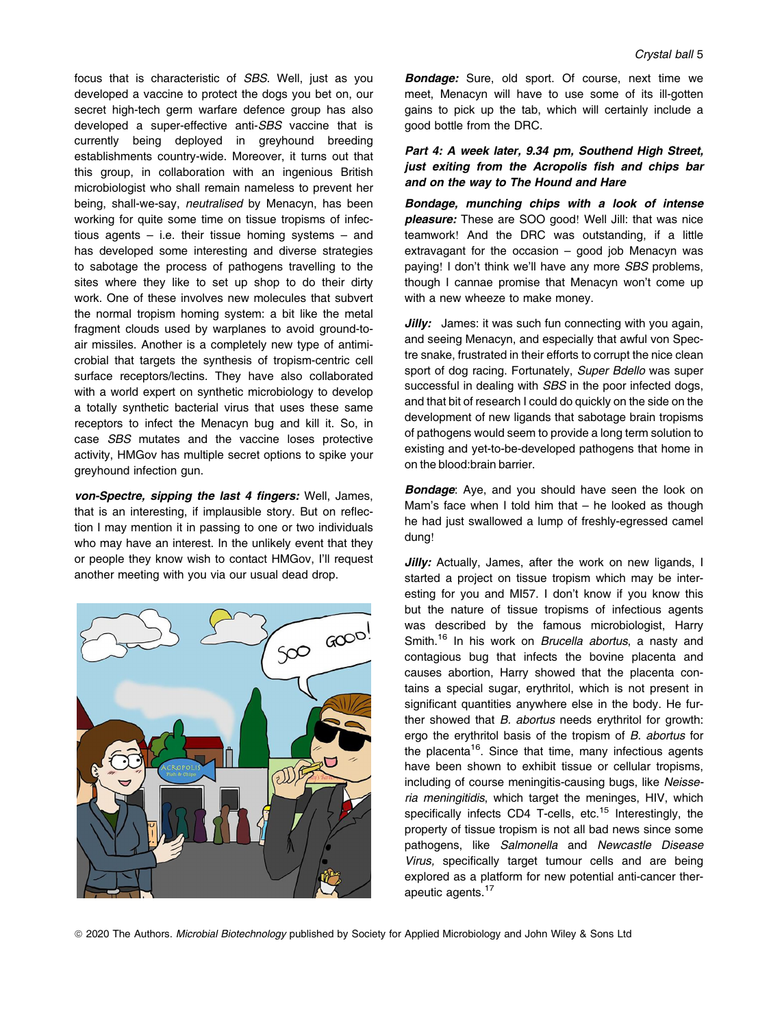focus that is characteristic of SBS. Well, just as you developed a vaccine to protect the dogs you bet on, our secret high-tech germ warfare defence group has also developed a super-effective anti-SBS vaccine that is currently being deployed in greyhound breeding establishments country-wide. Moreover, it turns out that this group, in collaboration with an ingenious British microbiologist who shall remain nameless to prevent her being, shall-we-say, neutralised by Menacyn, has been working for quite some time on tissue tropisms of infectious agents  $-$  i.e. their tissue homing systems  $-$  and has developed some interesting and diverse strategies to sabotage the process of pathogens travelling to the sites where they like to set up shop to do their dirty work. One of these involves new molecules that subvert the normal tropism homing system: a bit like the metal fragment clouds used by warplanes to avoid ground-toair missiles. Another is a completely new type of antimicrobial that targets the synthesis of tropism-centric cell surface receptors/lectins. They have also collaborated with a world expert on synthetic microbiology to develop a totally synthetic bacterial virus that uses these same receptors to infect the Menacyn bug and kill it. So, in case SBS mutates and the vaccine loses protective activity, HMGov has multiple secret options to spike your greyhound infection gun.

von-Spectre, sipping the last 4 fingers: Well, James, that is an interesting, if implausible story. But on reflection I may mention it in passing to one or two individuals who may have an interest. In the unlikely event that they or people they know wish to contact HMGov, I'll request another meeting with you via our usual dead drop.



**Bondage:** Sure, old sport. Of course, next time we meet, Menacyn will have to use some of its ill-gotten gains to pick up the tab, which will certainly include a good bottle from the DRC.

#### Part 4: A week later, 9.34 pm, Southend High Street, just exiting from the Acropolis fish and chips bar and on the way to The Hound and Hare

Bondage, munching chips with a look of intense pleasure: These are SOO good! Well Jill: that was nice teamwork! And the DRC was outstanding, if a little extravagant for the occasion – good job Menacyn was paying! I don't think we'll have any more SBS problems, though I cannae promise that Menacyn won't come up with a new wheeze to make money.

**Jilly:** James: it was such fun connecting with you again, and seeing Menacyn, and especially that awful von Spectre snake, frustrated in their efforts to corrupt the nice clean sport of dog racing. Fortunately, Super Bdello was super successful in dealing with *SBS* in the poor infected dogs, and that bit of research I could do quickly on the side on the development of new ligands that sabotage brain tropisms of pathogens would seem to provide a long term solution to existing and yet-to-be-developed pathogens that home in on the blood:brain barrier.

**Bondage:** Aye, and you should have seen the look on Mam's face when I told him that – he looked as though he had just swallowed a lump of freshly-egressed camel dung!

Jilly: Actually, James, after the work on new ligands, I started a project on tissue tropism which may be interesting for you and MI57. I don't know if you know this but the nature of tissue tropisms of infectious agents was described by the famous microbiologist, Harry Smith.<sup>16</sup> In his work on *Brucella abortus*, a nasty and contagious bug that infects the bovine placenta and causes abortion, Harry showed that the placenta contains a special sugar, erythritol, which is not present in significant quantities anywhere else in the body. He further showed that B. abortus needs erythritol for growth: ergo the erythritol basis of the tropism of B. abortus for the placenta<sup>16</sup>. Since that time, many infectious agents have been shown to exhibit tissue or cellular tropisms, including of course meningitis-causing bugs, like Neisseria meningitidis, which target the meninges, HIV, which specifically infects CD4 T-cells, etc.<sup>15</sup> Interestingly, the property of tissue tropism is not all bad news since some pathogens, like Salmonella and Newcastle Disease Virus, specifically target tumour cells and are being explored as a platform for new potential anti-cancer therapeutic agents.<sup>17</sup>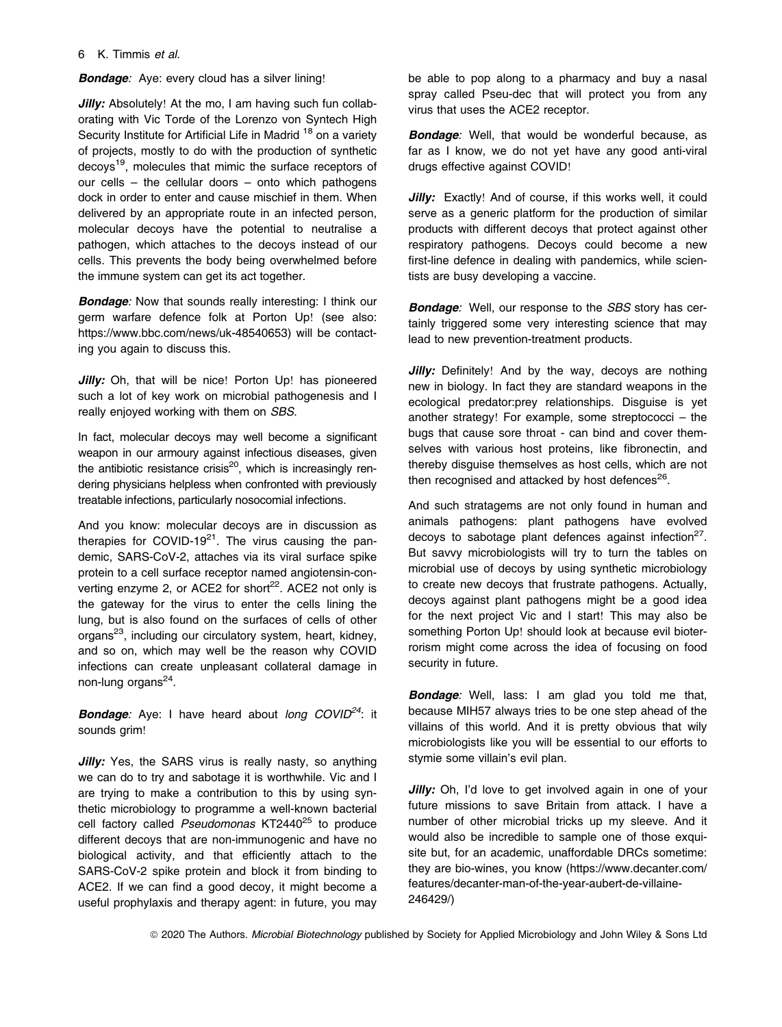#### 6 K. Timmis et al.

**Bondage:** Aye: every cloud has a silver lining!

Jilly: Absolutely! At the mo, I am having such fun collaborating with Vic Torde of the Lorenzo von Syntech High Security Institute for Artificial Life in Madrid <sup>18</sup> on a variety of projects, mostly to do with the production of synthetic decoys19, molecules that mimic the surface receptors of our cells – the cellular doors – onto which pathogens dock in order to enter and cause mischief in them. When delivered by an appropriate route in an infected person, molecular decoys have the potential to neutralise a pathogen, which attaches to the decoys instead of our cells. This prevents the body being overwhelmed before the immune system can get its act together.

**Bondage:** Now that sounds really interesting: I think our germ warfare defence folk at Porton Up! (see also: <https://www.bbc.com/news/uk-48540653>) will be contacting you again to discuss this.

Jilly: Oh, that will be nice! Porton Up! has pioneered such a lot of key work on microbial pathogenesis and I really enjoyed working with them on SBS.

In fact, molecular decoys may well become a significant weapon in our armoury against infectious diseases, given the antibiotic resistance crisis<sup>20</sup>, which is increasingly rendering physicians helpless when confronted with previously treatable infections, particularly nosocomial infections.

And you know: molecular decoys are in discussion as therapies for COVID-19 $^{21}$ . The virus causing the pandemic, SARS-CoV-2, attaches via its viral surface spike protein to a cell surface receptor named angiotensin-converting enzyme 2, or ACE2 for short $2^2$ . ACE2 not only is the gateway for the virus to enter the cells lining the lung, but is also found on the surfaces of cells of other organs<sup>23</sup>, including our circulatory system, heart, kidney, and so on, which may well be the reason why COVID infections can create unpleasant collateral damage in non-lung organs<sup>24</sup>.

**Bondage:** Aye: I have heard about long  $COVID^{24}$ : it sounds grim!

**Jilly:** Yes, the SARS virus is really nasty, so anything we can do to try and sabotage it is worthwhile. Vic and I are trying to make a contribution to this by using synthetic microbiology to programme a well-known bacterial cell factory called Pseudomonas KT2440<sup>25</sup> to produce different decoys that are non-immunogenic and have no biological activity, and that efficiently attach to the SARS-CoV-2 spike protein and block it from binding to ACE2. If we can find a good decoy, it might become a useful prophylaxis and therapy agent: in future, you may be able to pop along to a pharmacy and buy a nasal spray called Pseu-dec that will protect you from any virus that uses the ACE2 receptor.

**Bondage:** Well, that would be wonderful because, as far as I know, we do not yet have any good anti-viral drugs effective against COVID!

Jilly: Exactly! And of course, if this works well, it could serve as a generic platform for the production of similar products with different decoys that protect against other respiratory pathogens. Decoys could become a new first-line defence in dealing with pandemics, while scientists are busy developing a vaccine.

**Bondage:** Well, our response to the SBS story has certainly triggered some very interesting science that may lead to new prevention-treatment products.

**Jilly:** Definitely! And by the way, decoys are nothing new in biology. In fact they are standard weapons in the ecological predator:prey relationships. Disguise is yet another strategy! For example, some streptococci – the bugs that cause sore throat - can bind and cover themselves with various host proteins, like fibronectin, and thereby disguise themselves as host cells, which are not then recognised and attacked by host defences $^{26}$ .

And such stratagems are not only found in human and animals pathogens: plant pathogens have evolved decoys to sabotage plant defences against infection<sup>27</sup>. But savvy microbiologists will try to turn the tables on microbial use of decoys by using synthetic microbiology to create new decoys that frustrate pathogens. Actually, decoys against plant pathogens might be a good idea for the next project Vic and I start! This may also be something Porton Up! should look at because evil bioterrorism might come across the idea of focusing on food security in future.

**Bondage:** Well, lass: I am glad you told me that, because MIH57 always tries to be one step ahead of the villains of this world. And it is pretty obvious that wily microbiologists like you will be essential to our efforts to stymie some villain's evil plan.

Jilly: Oh, I'd love to get involved again in one of your future missions to save Britain from attack. I have a number of other microbial tricks up my sleeve. And it would also be incredible to sample one of those exquisite but, for an academic, unaffordable DRCs sometime: they are bio-wines, you know [\(https://www.decanter.com/](https://www.decanter.com/features/decanter-man-of-the-year-aubert-de-villaine-246429/) [features/decanter-man-of-the-year-aubert-de-villaine-](https://www.decanter.com/features/decanter-man-of-the-year-aubert-de-villaine-246429/)[246429/](https://www.decanter.com/features/decanter-man-of-the-year-aubert-de-villaine-246429/))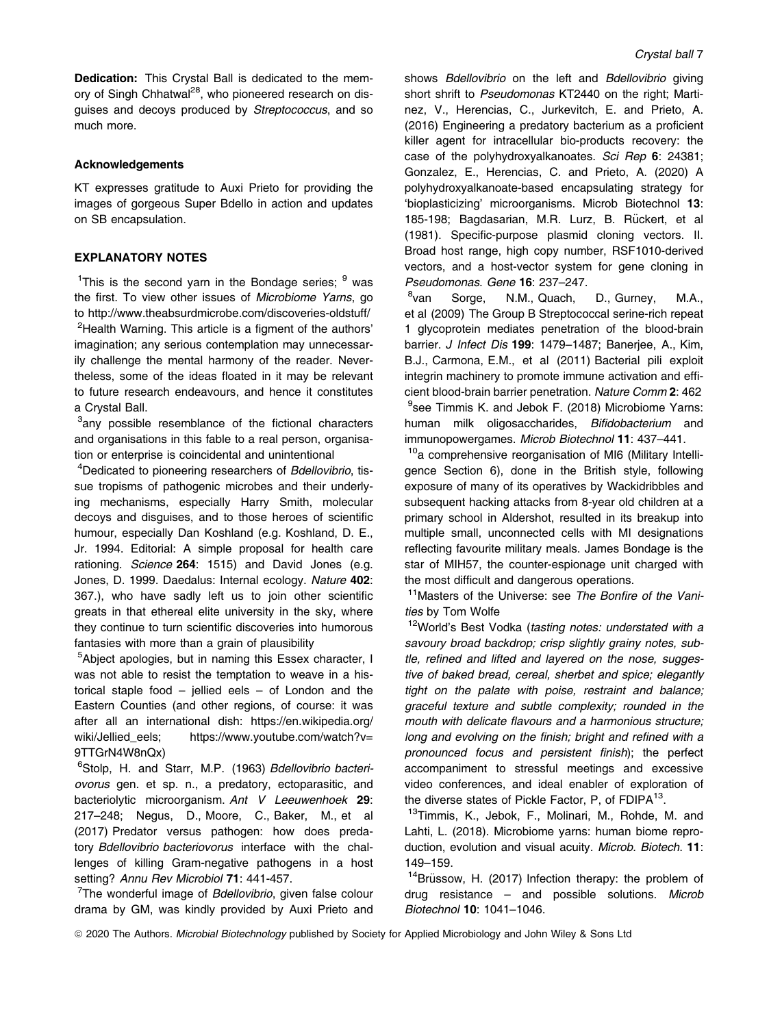Dedication: This Crystal Ball is dedicated to the memory of Singh Chhatwal<sup>28</sup>, who pioneered research on disguises and decoys produced by Streptococcus, and so much more.

#### **Acknowledgements**

KT expresses gratitude to Auxi Prieto for providing the images of gorgeous Super Bdello in action and updates on SB encapsulation.

#### EXPLANATORY NOTES

<sup>1</sup>This is the second yarn in the Bondage series; <sup>9</sup> was the first. To view other issues of Microbiome Yarns, go to<http://www.theabsurdmicrobe.com/discoveries-oldstuff/> <sup>2</sup>Health Warning. This article is a figment of the authors'

imagination; any serious contemplation may unnecessarily challenge the mental harmony of the reader. Nevertheless, some of the ideas floated in it may be relevant to future research endeavours, and hence it constitutes a Crystal Ball.

<sup>3</sup>any possible resemblance of the fictional characters and organisations in this fable to a real person, organisation or enterprise is coincidental and unintentional

<sup>4</sup>Dedicated to pioneering researchers of Bdellovibrio, tissue tropisms of pathogenic microbes and their underlying mechanisms, especially Harry Smith, molecular decoys and disguises, and to those heroes of scientific humour, especially Dan Koshland (e.g. Koshland, D. E., Jr. 1994. Editorial: A simple proposal for health care rationing. Science 264: 1515) and David Jones (e.g. Jones, D. 1999. Daedalus: Internal ecology. Nature 402: 367.), who have sadly left us to join other scientific greats in that ethereal elite university in the sky, where they continue to turn scientific discoveries into humorous fantasies with more than a grain of plausibility

<sup>5</sup>Abject apologies, but in naming this Essex character, I was not able to resist the temptation to weave in a historical staple food – jellied eels – of London and the Eastern Counties (and other regions, of course: it was after all an international dish: [https://en.wikipedia.org/](https://en.wikipedia.org/wiki/Jellied_eels) [wiki/Jellied\\_eels](https://en.wikipedia.org/wiki/Jellied_eels); [https://www.youtube.com/watch?v=](https://www.youtube.com/watch?v=9TTGrN4W8nQx) [9TTGrN4W8nQx](https://www.youtube.com/watch?v=9TTGrN4W8nQx))

<sup>6</sup>Stolp, H. and Starr, M.P. (1963) Bdellovibrio bacteriovorus gen. et sp. n., a predatory, ectoparasitic, and bacteriolytic microorganism. Ant V Leeuwenhoek 29: 217–248; Negus, D., Moore, C., Baker, M., et al (2017) Predator versus pathogen: how does predatory Bdellovibrio bacteriovorus interface with the challenges of killing Gram-negative pathogens in a host setting? Annu Rev Microbiol 71: 441-457.

<sup>7</sup>The wonderful image of Bdellovibrio, given false colour drama by GM, was kindly provided by Auxi Prieto and shows Bdellovibrio on the left and Bdellovibrio giving short shrift to Pseudomonas KT2440 on the right; Martinez, V., Herencias, C., Jurkevitch, E. and Prieto, A. (2016) Engineering a predatory bacterium as a proficient killer agent for intracellular bio-products recovery: the case of the polyhydroxyalkanoates. Sci Rep 6: 24381; Gonzalez, E., Herencias, C. and Prieto, A. (2020) A polyhydroxyalkanoate-based encapsulating strategy for 'bioplasticizing' microorganisms. Microb Biotechnol 13: 185-198; Bagdasarian, M.R. Lurz, B. Rückert, et al (1981). Specific-purpose plasmid cloning vectors. II. Broad host range, high copy number, RSF1010-derived vectors, and a host-vector system for gene cloning in Pseudomonas. Gene 16: 237–247.

<sup>8</sup>van Sorge, N.M., Quach, D., Gurney, M.A., et al (2009) The Group B Streptococcal serine-rich repeat 1 glycoprotein mediates penetration of the blood-brain barrier. J Infect Dis 199: 1479–1487; Banerjee, A., Kim, B.J., Carmona, E.M., et al (2011) Bacterial pili exploit integrin machinery to promote immune activation and efficient blood-brain barrier penetration. Nature Comm 2: 462 <sup>9</sup>see Timmis K. and Jebok F. (2018) Microbiome Yarns: human milk oligosaccharides, Bifidobacterium and immunopowergames. Microb Biotechnol 11: 437–441.

<sup>10</sup>a comprehensive reorganisation of MI6 (Military Intelligence Section 6), done in the British style, following exposure of many of its operatives by Wackidribbles and subsequent hacking attacks from 8-year old children at a primary school in Aldershot, resulted in its breakup into multiple small, unconnected cells with MI designations reflecting favourite military meals. James Bondage is the star of MIH57, the counter-espionage unit charged with the most difficult and dangerous operations.

<sup>11</sup> Masters of the Universe: see The Bonfire of the Vanities by Tom Wolfe

 $12$ World's Best Vodka (tasting notes: understated with a savoury broad backdrop; crisp slightly grainy notes, subtle, refined and lifted and layered on the nose, suggestive of baked bread, cereal, sherbet and spice; elegantly tight on the palate with poise, restraint and balance; graceful texture and subtle complexity; rounded in the mouth with delicate flavours and a harmonious structure; long and evolving on the finish; bright and refined with a pronounced focus and persistent finish); the perfect accompaniment to stressful meetings and excessive video conferences, and ideal enabler of exploration of the diverse states of Pickle Factor, P, of FDIPA<sup>13</sup>.

<sup>13</sup>Timmis, K., Jebok, F., Molinari, M., Rohde, M. and Lahti, L. (2018). Microbiome yarns: human biome reproduction, evolution and visual acuity. Microb. Biotech. 11: 149–159.

 $14B$ rüssow, H. (2017) Infection therapy: the problem of drug resistance – and possible solutions. Microb Biotechnol 10: 1041–1046.